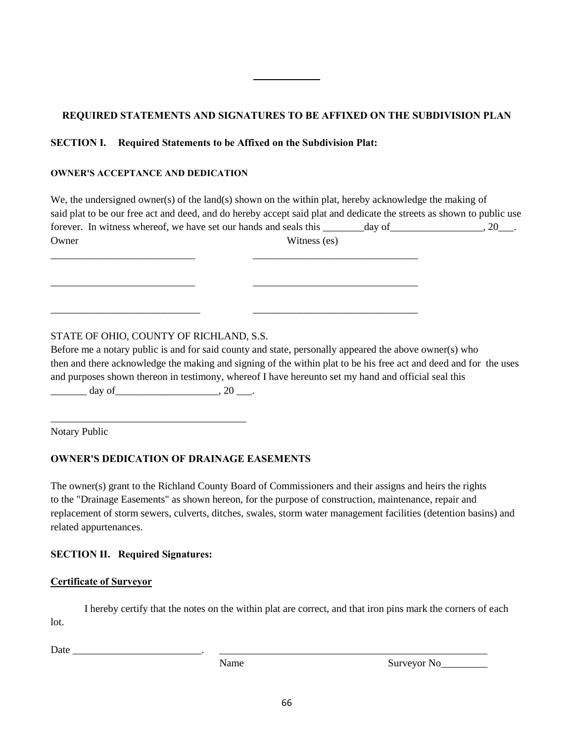# **REQUIRED STATEMENTS AND SIGNATURES TO BE AFFIXED ON THE SUBDIVISION PLAN**

## **SECTION I. Required Statements to be Affixed on the Subdivision Plat:**

\_\_\_\_\_\_\_\_\_\_\_\_\_\_\_\_\_\_\_\_\_\_\_\_\_\_\_\_ \_\_\_\_\_\_\_\_\_\_\_\_\_\_\_\_\_\_\_\_\_\_\_\_\_\_\_\_\_\_\_\_

\_\_\_\_\_\_\_\_\_\_\_\_\_\_\_\_\_\_\_\_\_\_\_\_\_\_\_\_\_ \_\_\_\_\_\_\_\_\_\_\_\_\_\_\_\_\_\_\_\_\_\_\_\_\_\_\_\_\_\_\_\_

#### **OWNER'S ACCEPTANCE AND DEDICATION**

| We, the undersigned owner(s) of the land(s) shown on the within plat, hereby acknowledge the making of |                                                                                                                       |
|--------------------------------------------------------------------------------------------------------|-----------------------------------------------------------------------------------------------------------------------|
|                                                                                                        | said plat to be our free act and deed, and do hereby accept said plat and dedicate the streets as shown to public use |
| forever. In witness whereof, we have set our hands and seals this                                      | $.20$ <sub>-</sub> .<br>day of                                                                                        |
| Owner                                                                                                  | Witness (es)                                                                                                          |
|                                                                                                        |                                                                                                                       |

## STATE OF OHIO, COUNTY OF RICHLAND, S.S.

Before me a notary public is and for said county and state, personally appeared the above owner(s) who then and there acknowledge the making and signing of the within plat to be his free act and deed and for the uses and purposes shown thereon in testimony, whereof I have hereunto set my hand and official seal this

 $\frac{day \text{ of } (x,y) \text{ of } (x,y) \text{ of } (x,y) \text{ of } (x,y) \text{ of } (x,y) \text{ of } (x,y) \text{ of } (x,y) \text{ of } (x,y) \text{ of } (x,y) \text{ of } (x,y) \text{ of } (x,y) \text{ of } (x,y) \text{ of } (x,y) \text{ of } (x,y) \text{ of } (x,y) \text{ of } (x,y) \text{ of } (x,y) \text{ of } (x,y) \text{ of } (x,y) \text{ of } (x,y) \text{ of } (x,y) \text{ of } (x,y) \text{ of } (x,y) \text{ of } (x,y)$ 

\_\_\_\_\_\_\_\_\_\_\_\_\_\_\_\_\_\_\_\_\_\_\_\_\_\_\_\_\_\_\_\_\_\_\_\_\_\_

Notary Public

## **OWNER'S DEDICATION OF DRAINAGE EASEMENTS**

The owner(s) grant to the Richland County Board of Commissioners and their assigns and heirs the rights to the "Drainage Easements" as shown hereon, for the purpose of construction, maintenance, repair and replacement of storm sewers, culverts, ditches, swales, storm water management facilities (detention basins) and related appurtenances.

## **SECTION II. Required Signatures:**

#### **Certificate of Surveyor**

I hereby certify that the notes on the within plat are correct, and that iron pins mark the corners of each lot.

Date \_\_\_\_\_\_\_\_\_\_\_\_\_\_\_\_\_\_\_\_\_\_\_\_\_. \_\_\_\_\_\_\_\_\_\_\_\_\_\_\_\_\_\_\_\_\_\_\_\_\_\_\_\_\_\_\_\_\_\_\_\_\_\_\_\_\_\_\_\_\_\_\_\_\_\_\_\_

Name Surveyor No\_\_\_\_\_\_\_\_\_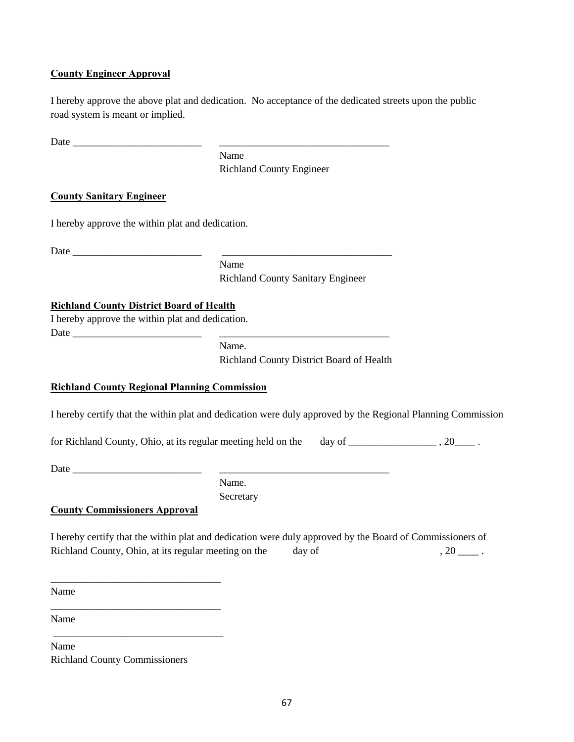### **County Engineer Approval**

I hereby approve the above plat and dedication. No acceptance of the dedicated streets upon the public road system is meant or implied.

Date \_\_\_\_\_\_\_\_\_\_\_\_\_\_\_\_\_\_\_\_\_\_\_\_\_ \_\_\_\_\_\_\_\_\_\_\_\_\_\_\_\_\_\_\_\_\_\_\_\_\_\_\_\_\_\_\_\_\_

Name Richland County Engineer

### **County Sanitary Engineer**

I hereby approve the within plat and dedication.

Date \_\_\_\_\_\_\_\_\_\_\_\_\_\_\_\_\_\_\_\_\_\_\_\_\_ \_\_\_\_\_\_\_\_\_\_\_\_\_\_\_\_\_\_\_\_\_\_\_\_\_\_\_\_\_\_\_\_\_

Name Richland County Sanitary Engineer

#### **Richland County District Board of Health**

I hereby approve the within plat and dedication.  $Date$   $\qquad \qquad$ 

> Name. Richland County District Board of Health

#### **Richland County Regional Planning Commission**

I hereby certify that the within plat and dedication were duly approved by the Regional Planning Commission

for Richland County, Ohio, at its regular meeting held on the day of \_\_\_\_\_\_\_\_\_\_\_\_\_\_\_\_\_\_\_\_\_\_, 20\_\_\_\_\_\_\_.

Date  $\Box$ 

Name. **Secretary** 

**County Commissioners Approval**

\_\_\_\_\_\_\_\_\_\_\_\_\_\_\_\_\_\_\_\_\_\_\_\_\_\_\_\_\_\_\_\_\_

\_\_\_\_\_\_\_\_\_\_\_\_\_\_\_\_\_\_\_\_\_\_\_\_\_\_\_\_\_\_\_\_\_

\_\_\_\_\_\_\_\_\_\_\_\_\_\_\_\_\_\_\_\_\_\_\_\_\_\_\_\_\_\_\_\_\_

I hereby certify that the within plat and dedication were duly approved by the Board of Commissioners of Richland County, Ohio, at its regular meeting on the day of , 20 \_\_\_\_ .

Name

Name

Name Richland County Commissioners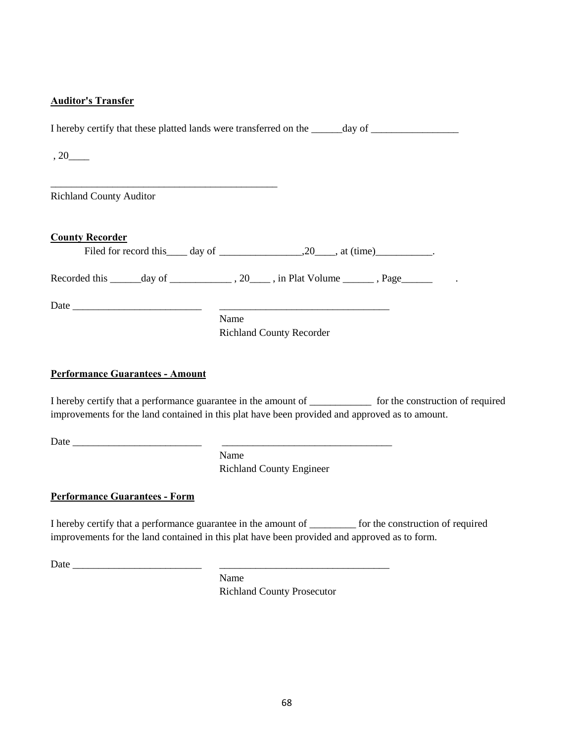### **Auditor's Transfer**

I hereby certify that these platted lands were transferred on the \_\_\_\_\_\_day of \_\_\_\_\_\_\_\_\_\_\_\_\_\_\_\_\_\_\_\_\_\_\_\_\_\_\_\_\_\_\_

, 20\_\_\_\_

Richland County Auditor

\_\_\_\_\_\_\_\_\_\_\_\_\_\_\_\_\_\_\_\_\_\_\_\_\_\_\_\_\_\_\_\_\_\_\_\_\_\_\_\_\_\_\_\_

| <b>County Recorder</b>                                                                                               |      | Filed for record this $\_\_\_$ day of $\_\_\_\_\_$ , 20, at (time) $\_\_\_\_\_\_\_\_\_$ . |  |
|----------------------------------------------------------------------------------------------------------------------|------|-------------------------------------------------------------------------------------------|--|
| Recorded this _______day of _______________, 20_____, in Plat Volume _______, Page ______________.                   |      |                                                                                           |  |
| Date $\frac{1}{\sqrt{1-\frac{1}{2}}}\left\{ \frac{1}{2}, \frac{1}{2}, \frac{1}{2}, \frac{1}{2}, \frac{1}{2}\right\}$ |      |                                                                                           |  |
|                                                                                                                      | Name | <b>Richland County Recorder</b>                                                           |  |

## **Performance Guarantees - Amount**

I hereby certify that a performance guarantee in the amount of \_\_\_\_\_\_\_\_\_\_\_\_ for the construction of required improvements for the land contained in this plat have been provided and approved as to amount.

Date \_\_\_\_\_\_\_\_\_\_\_\_\_\_\_\_\_\_\_\_\_\_\_\_\_ \_\_\_\_\_\_\_\_\_\_\_\_\_\_\_\_\_\_\_\_\_\_\_\_\_\_\_\_\_\_\_\_\_

Name Richland County Engineer

## **Performance Guarantees - Form**

I hereby certify that a performance guarantee in the amount of \_\_\_\_\_\_\_\_\_ for the construction of required improvements for the land contained in this plat have been provided and approved as to form.

Date \_\_\_\_\_\_\_\_\_\_\_\_\_\_\_\_\_\_\_\_\_\_\_\_\_ \_\_\_\_\_\_\_\_\_\_\_\_\_\_\_\_\_\_\_\_\_\_\_\_\_\_\_\_\_\_\_\_\_

Name Richland County Prosecutor